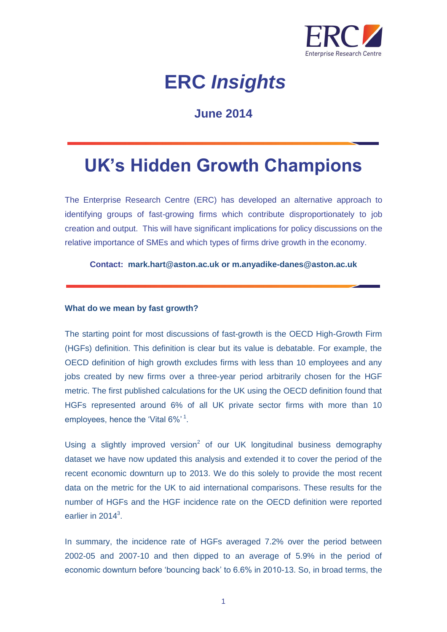

# **ERC** *Insights*

### **June 2014**

## **UK's Hidden Growth Champions**

The Enterprise Research Centre (ERC) has developed an alternative approach to identifying groups of fast-growing firms which contribute disproportionately to job creation and output. This will have significant implications for policy discussions on the relative importance of SMEs and which types of firms drive growth in the economy.

**Contact: mark.hart@aston.ac.uk or m.anyadike-danes@aston.ac.uk**

### **What do we mean by fast growth?**

The starting point for most discussions of fast-growth is the OECD High-Growth Firm (HGFs) definition. This definition is clear but its value is debatable. For example, the OECD definition of high growth excludes firms with less than 10 employees and any jobs created by new firms over a three-year period arbitrarily chosen for the HGF metric. The first published calculations for the UK using the OECD definition found that HGFs represented around 6% of all UK private sector firms with more than 10 employees, hence the 'Vital 6%'<sup>1</sup>.

Using a slightly improved version<sup>2</sup> of our UK longitudinal business demography dataset we have now updated this analysis and extended it to cover the period of the recent economic downturn up to 2013. We do this solely to provide the most recent data on the metric for the UK to aid international comparisons. These results for the number of HGFs and the HGF incidence rate on the OECD definition were reported earlier in 2014 $3$ .

In summary, the incidence rate of HGFs averaged 7.2% over the period between 2002-05 and 2007-10 and then dipped to an average of 5.9% in the period of economic downturn before 'bouncing back' to 6.6% in 2010-13. So, in broad terms, the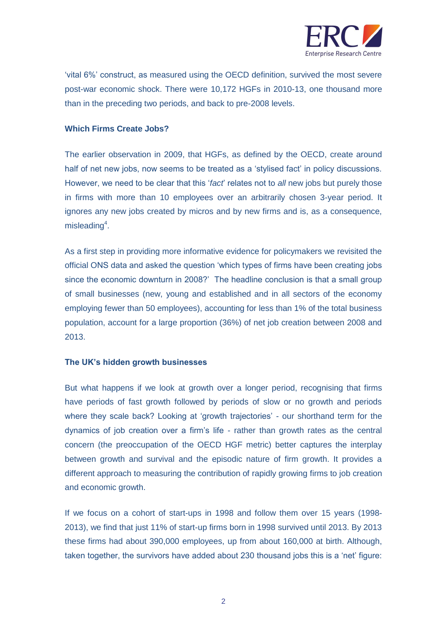

'vital 6%' construct, as measured using the OECD definition, survived the most severe post-war economic shock. There were 10,172 HGFs in 2010-13, one thousand more than in the preceding two periods, and back to pre-2008 levels.

### **Which Firms Create Jobs?**

The earlier observation in 2009, that HGFs, as defined by the OECD, create around half of net new jobs, now seems to be treated as a 'stylised fact' in policy discussions. However, we need to be clear that this '*fact*' relates not to *all* new jobs but purely those in firms with more than 10 employees over an arbitrarily chosen 3-year period. It ignores any new jobs created by micros and by new firms and is, as a consequence, misleading $4$ .

As a first step in providing more informative evidence for policymakers we revisited the official ONS data and asked the question 'which types of firms have been creating jobs since the economic downturn in 2008?' The headline conclusion is that a small group of small businesses (new, young and established and in all sectors of the economy employing fewer than 50 employees), accounting for less than 1% of the total business population, account for a large proportion (36%) of net job creation between 2008 and 2013.

### **The UK's hidden growth businesses**

But what happens if we look at growth over a longer period, recognising that firms have periods of fast growth followed by periods of slow or no growth and periods where they scale back? Looking at 'growth trajectories' - our shorthand term for the dynamics of job creation over a firm's life - rather than growth rates as the central concern (the preoccupation of the OECD HGF metric) better captures the interplay between growth and survival and the episodic nature of firm growth. It provides a different approach to measuring the contribution of rapidly growing firms to job creation and economic growth.

If we focus on a cohort of start-ups in 1998 and follow them over 15 years (1998- 2013), we find that just 11% of start-up firms born in 1998 survived until 2013. By 2013 these firms had about 390,000 employees, up from about 160,000 at birth. Although, taken together, the survivors have added about 230 thousand jobs this is a 'net' figure: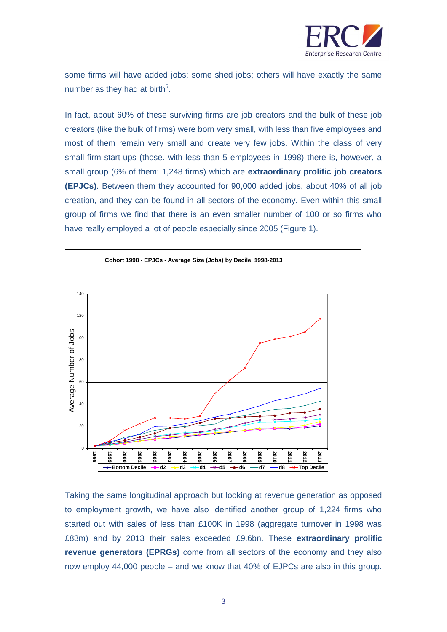

some firms will have added jobs; some shed jobs; others will have exactly the same number as they had at birth $5$ .

In fact, about 60% of these surviving firms are job creators and the bulk of these job creators (like the bulk of firms) were born very small, with less than five employees and most of them remain very small and create very few jobs. Within the class of very small firm start-ups (those. with less than 5 employees in 1998) there is, however, a small group (6% of them: 1,248 firms) which are **extraordinary prolific job creators (EPJCs)**. Between them they accounted for 90,000 added jobs, about 40% of all job creation, and they can be found in all sectors of the economy. Even within this small group of firms we find that there is an even smaller number of 100 or so firms who have really employed a lot of people especially since 2005 (Figure 1).



Taking the same longitudinal approach but looking at revenue generation as opposed to employment growth, we have also identified another group of 1,224 firms who started out with sales of less than £100K in 1998 (aggregate turnover in 1998 was £83m) and by 2013 their sales exceeded £9.6bn. These **extraordinary prolific revenue generators (EPRGs)** come from all sectors of the economy and they also now employ 44,000 people – and we know that 40% of EJPCs are also in this group.